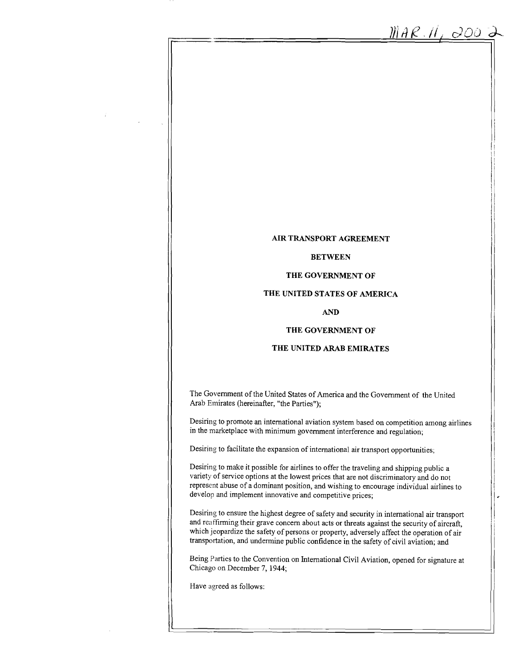<u>MAR. II, 2000</u>

#### **AIR TRANSPORT AGREEMENT**

# **BETWEEN**

# **THE GOVERNMENT OF**

# **THE UNITED STATES OF AMERICA**

# **AND**

# **THE GOVERNMENT OF**

# **THE UNITED ARAB EMIRATES**

The Government of the United States of America and the Government of the United Arab Emirates (hereinafter, "the Parties");

Desiring to promote an international aviation system based on competition among airlines in the marketplace with minimum government interference and regulation;

Desiring to facilitate the expansion of international air transport opportunities;

Desiring to make it possible for airlines to offer the traveling and shipping public a variety of service options at the lowest prices that are not discriminatory and do not represent abuse of a dominant position, and wishing to encourage individual airlines to develop and implement innovative and competitive prices;

Desiring to ensure the highest degree of safety and security in international air transport and reaffirming their grave concern about acts or threats against the security of aircraft, which jeopardize the safety of persons or property, adversely affect the operation of air transportation, and undermine public confidence in the safety of civil aviation; and

Being Parties to the Convention on International Civil Aviation, opened for signature at Chicago on December 7, 1944;

lL======\_\_=----====================================::::!J

Have agreed as follows: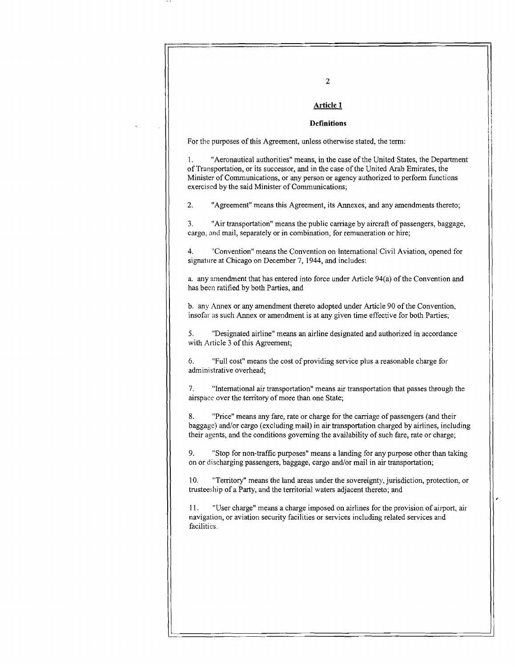|  | 2                                                                                                                                                                                                                                                                                                                             |
|--|-------------------------------------------------------------------------------------------------------------------------------------------------------------------------------------------------------------------------------------------------------------------------------------------------------------------------------|
|  | <b>Article 1</b>                                                                                                                                                                                                                                                                                                              |
|  | <b>Definitions</b>                                                                                                                                                                                                                                                                                                            |
|  | For the purposes of this Agreement, unless otherwise stated, the term:                                                                                                                                                                                                                                                        |
|  | "Aeronautical authorities" means, in the case of the United States, the Department<br>1.<br>of Transportation, or its successor, and in the case of the United Arab Emirates, the<br>Minister of Communications, or any person or agency authorized to perform functions<br>exercised by the said Minister of Communications; |
|  | 2.<br>"Agreement" means this Agreement, its Annexes, and any amendments thereto;                                                                                                                                                                                                                                              |
|  | 3.<br>"Air transportation" means the public carriage by aircraft of passengers, baggage,<br>cargo, and mail, separately or in combination, for remuneration or hire;                                                                                                                                                          |
|  | "Convention" means the Convention on International Civil Aviation, opened for<br>4.<br>signature at Chicago on December 7, 1944, and includes:                                                                                                                                                                                |
|  | a. any amendment that has entered into force under Article 94(a) of the Convention and<br>has been ratified by both Parties, and                                                                                                                                                                                              |
|  | b. any Annex or any amendment thereto adopted under Article 90 of the Convention,<br>insofar as such Annex or amendment is at any given time effective for both Parties;                                                                                                                                                      |
|  | 5.<br>"Designated airline" means an airline designated and authorized in accordance<br>with Article 3 of this Agreement;                                                                                                                                                                                                      |
|  | 6.<br>"Full cost" means the cost of providing service plus a reasonable charge for<br>administrative overhead;                                                                                                                                                                                                                |
|  | "International air transportation" means air transportation that passes through the<br>7.<br>airspace over the territory of more than one State;                                                                                                                                                                              |
|  | 8.<br>"Price" means any fare, rate or charge for the carriage of passengers (and their<br>baggage) and/or cargo (excluding mail) in air transportation charged by airlines, including<br>their agents, and the conditions governing the availability of such fare, rate or charge;                                            |
|  | 9.<br>"Stop for non-traffic purposes" means a landing for any purpose other than taking<br>on or discharging passengers, baggage, cargo and/or mail in air transportation;                                                                                                                                                    |
|  | 10.<br>"Territory" means the land areas under the sovereignty, jurisdiction, protection, or<br>trusteeship of a Party, and the territorial waters adjacent thereto; and                                                                                                                                                       |
|  | "User charge" means a charge imposed on airlines for the provision of airport, air<br>11.<br>navigation, or aviation security facilities or services including related services and<br>facilities.                                                                                                                            |
|  |                                                                                                                                                                                                                                                                                                                               |
|  |                                                                                                                                                                                                                                                                                                                               |

 $\cdot$  .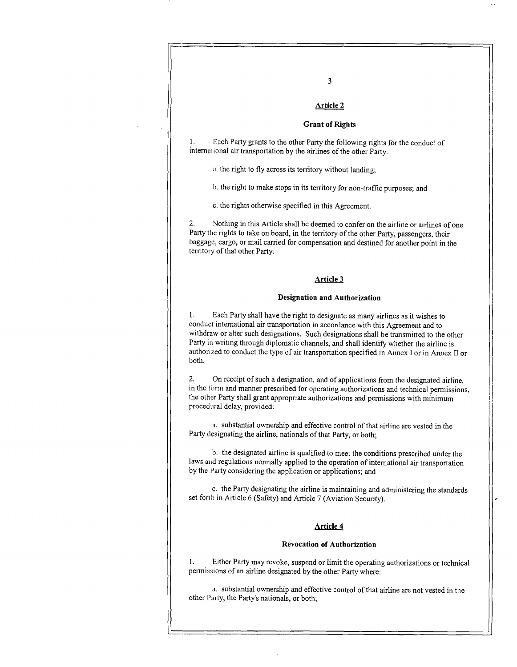### **Article 2**

#### **Grant of Rights**

1. Each Party grants to the other Party the following rights for the conduct of international air transportation by the airlines of the other Party:

a. the right to fly across its territory without landing;

b. the right to make stops in its territory for non-traffic purposes; and

c. the rights otherwise specified in this Agreement.

2. Nothing in this Article shall be deemed to confer on the airline or airlines of one Party the rights to take on board, in the territory of the other Party, passengers, their baggage, cargo, or mail carried for compensation and destined for another point in the territory of that other Party.

### **Article 3**

# **Designation and Authorization**

1. Each Party shall have the right to designate as many airlines as it wishes to conduct international air transportation in accordance with this Agreement and to withdraw or alter such designations. Such designations shall be transmitted to the other Party in writing through diplomatic channels, and shall identify whether the airline is authorized to conduct the type of air transportation specified in Annex I or in Annex II or both.

2. On receipt of such a designation, and of applications from the designated airline, in the form and manner prescribed for operating authorizations and technical permissions, the other Party shall grant appropriate authorizations and permissions with minimum procedural delay, provided:

a. substantial ownership and effective control of that airline are vested in the Party designating the airline, nationals of that Party, or both;

b. the designated airline is qualified to meet the conditions prescribed under the laws and regulations normally applied to the operation of international air transportation by the Party considering the application or applications; and

c. the Party designating the airline is maintaining and administering the standards set forth in Article 6 (Safety) and Article 7 (Aviation Security).

# **Article 4**

#### **Revocation of Authorization**

1. Either Party may revoke, suspend or limit the operating authorizations or technical permissions of an airline designated by the other Party where:

a. substantial ownership and effective control of that airline are not vested in the other Party, the Party's nationals, or both;

I,

II<br>Iii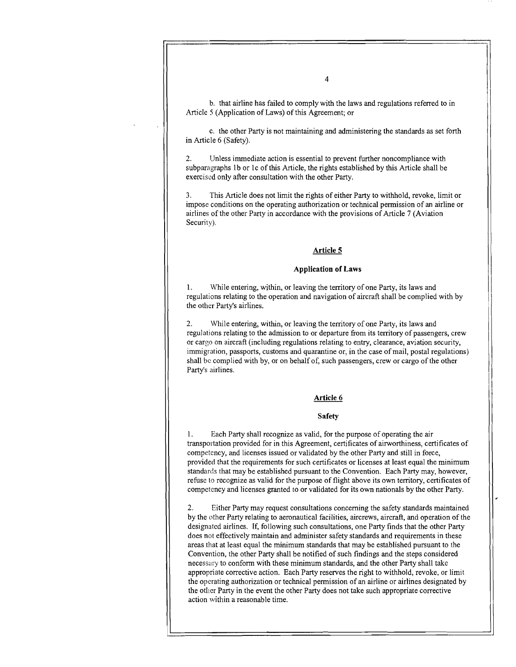b. that airline has failed to comply with the laws and regulations referred to in Article 5 (Application of Laws) of this Agreement; or

c. the other Party is not maintaining and administering the standards as set forth in Article 6 (Safety).

2. Unless immediate action is essential to prevent further noncompliance with subparagraphs 1b or 1c of this Article, the rights established by this Article shall be exercised only after consultation with the other Party.

3. This Article does not limit the rights of either Party to withhold, revoke, limit or impose conditions on the operating authorization or technical permission of an airline or airlines of the other Party in accordance with the provisions of Article 7 (Aviation Security).

### **Article 5**

### **Application of Laws**

I. While entering, within, or leaving the territory of one Party, its laws and regulations relating to the operation and navigation of aircraft shall be complied with by the other Party's airlines.

2. While entering, within, or leaving the territory of one Party, its laws and regulations relating to the admission to or departure from its territory of passengers, crew or cargo on aircraft (including regulations relating to entry, clearance, aviation security, immigration, passports, customs and quarantine or, in the case of mail, postal regulations) shall be complied with by, or on behalf of, such passengers, crew or cargo ofthe other Party's airlines.

#### **Article 6**

#### **Safety**

1. Each Party shall recognize as valid, for the purpose of operating the air transportation provided for in this Agreement, certificates of airworthiness, certificates of competency, and licenses issued or validated by the other Party and still in force, provided that the requirements for such certificates or licenses at least equal the minimum standards that may be established pursuant to the Convention. Each Party may, however, refuse to recognize as valid for the purpose of flight above its own territory, certificates of competency and licenses granted to or validated for its own nationals by the other Party.

2. Either Party may request consultations concerning the safety standards maintained by the other Party relating to aeronautical facilities, aircrews, aircraft, and operation of the designated airlines. If, following such consultations, one Party finds that the other Party does not effectively maintain and administer safety standards and requirements in these areas that at least equal the minimum standards that may be established pursuant to the Convention, the other Party shall be notified of such findings and the steps considered necessary to conform with these minimum standards, and the other Party shall take appropriate corrective action. Each Party reserves the right to withhold, revoke, or limit the operating authorization or technical permission of an airline or airlines designated by the other Party in the event the other Party does not take such appropriate corrective action within a reasonable time.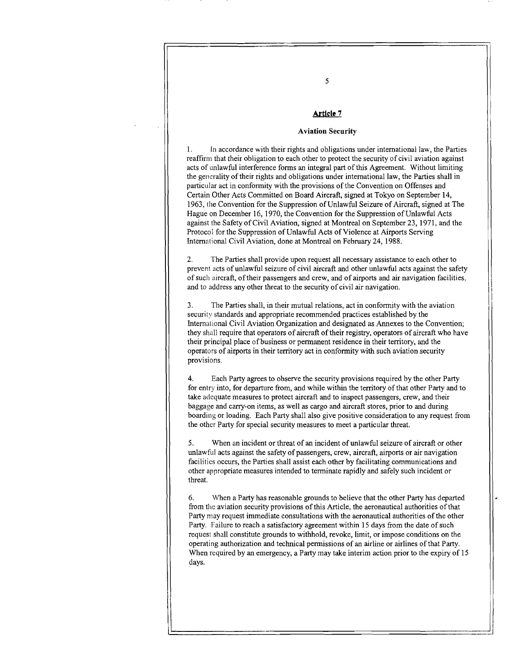# **Article 7**

### Aviation Security

1. In accordance with their rights and obligations under international law, the Parties reaffirm that their obligation to each other to protect the security of civil aviation against acts of unlawful interference forms an integral part of this Agreement. Without limiting the generality of their rights and obligations under international law, the Parties shall in particular act in conformity with the provisions of the Convention on Offenses and Certain Other Acts Committed on Board Aircraft, signed at Tokyo on September 14, 1963, the Convention for the Suppression of Unlawful Seizure of Aircraft, signed at The Hague on December 16, 1970, the Convention for the Suppression of Unlawful Acts against the Safety of Civil Aviation, signed at Montreal on September 23, 1971, and the Protocol for the Suppression of Unlawful Acts of Violence at Airports Serving International Civil Aviation, done at Montreal on February 24, 1988.

2. The Parties shall provide upon request all necessary assistance to each other to prevent acts of unlawful seizure of civil aircraft and other unlawful acts against the safety ofsuch aircraft, oftheir passengers and crew, and of airports and air navigation facilities, and to address any other threat to the security of civil air navigation.

3. The Parties shall, in their mutual relations, act in conformity with the aviation security standards and appropriate recommended practices established by the International Civil Aviation Organization and designated as Annexes to the Convention; they shall require that operators of aircraft of their registry, operators of aircraft who have their principal place of business or permanent residence in their territory, and the operators of airports in their territory act in conformity with such aviation security provisions.

4. Each Party agrees to observe the security provisions required by the other Party for entry into, for departure from, and while within the territory of that other Party and to take adequate measures to protect aircraft and to inspect passengers, crew, and their baggage and carry-on items, as well as cargo and aircraft stores, prior to and during boarding or loading. Each Party shall also give positive consideration to any request from the other Party for special security measures to meet a particular threat.

5. When an incident or threat of an incident of unlawful seizure of aircraft or other unlawful acts against the safety of passengers, crew, aircraft, airports or air navigation facilities occurs, the Parties shall assist each other by facilitating communications and other appropriate measures intended to terminate rapidly and safely such incident or threat.

6. When a Party has reasonable grounds to believe that the other Party has departed from the aviation security provisions of this Article, the aeronautical authorities of that Party may request immediate consultations with the aeronautical authorities of the other Party. Failure to reach a satisfactory agreement within 15 days from the date of such request shall constitute grounds to withhold, revoke, limit, or impose conditions on the operating authorization and technical permissions of an airline or airlines ofthat Party. When required by an emergency, a Party may take interim action prior to the expiry of 15 days.

II

II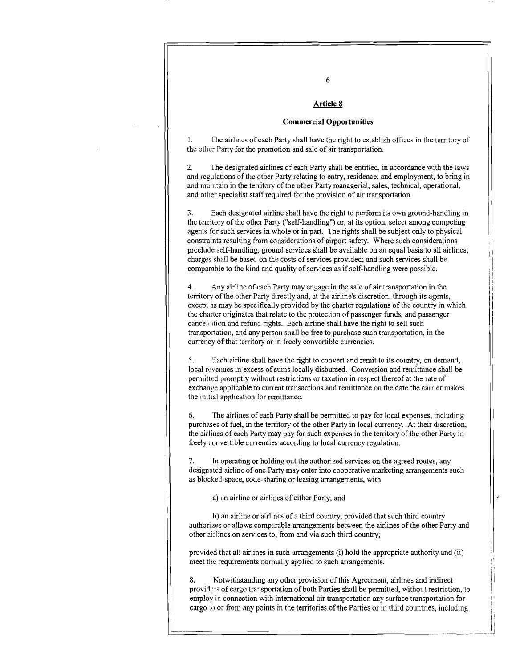6

# **Article 8**

### **Commercial Opportunities**

I. The airlines of each Party shall have the right to establish offices in the territory of the other Party for the promotion and sale of air transportation.

2. The designated airlines of each Party shall be entitled, in accordance with the laws and regulations of the other Party relating to entry, residence, and employment, to bring in and maintain in the territory of the other Party managerial, sales, technical, operational, and other specialist staff required for the provision of air transportation.

3. Each designated airline shall have the right to perform its own ground-handling in the territory of the other Party ("self-handling") or, at its option, select among competing agents for such services in whole or in part. The rights shall be subject only to physical constraints resulting from considerations of airport safety. Where such considerations preclude self-handling, ground services shall be available on an equal basis to all airlines; charges shall be based on the costs of services provided; and such services shall be comparable to the kind and quality of services as if self-handling were possible.

4. Any airline of each Party may engage in the sale of air transportation in the territory of the other Party directly and, at the airline's discretion, through its agents, except as may be specifically provided by the charter regulations of the country in which the charter originates that relate to the protection of passenger funds, and passenger cancellation and refund rights. Each airline shall have the right to sell such transportation, and any person shall be free to purchase such transportation, in the currency of that territory or in freely convertible currencies.

5. Each airline shall have the right to convert and remit to its country, on demand, local revenues in excess of sums locally disbursed. Conversion and remittance shall be permitted promptly without restrictions or taxation in respect thereof at the rate of exchange applicable to current transactions and remittance on the date the carrier makes the initial application for remittance.

6. The airlines of each Party shall be permitted to pay for local expenses, including purchases of fuel, in the territory of the other Party in local currency. At their discretion, the airlines of each Party may pay for such expenses in the territory of the other Party in freely convertible currencies according to local currency regulation.

7. In operating or holding out the authorized services on the agreed routes, any designated airline of one Party may enter into cooperative marketing arrangements such as blocked-space, code-sharing or leasing arrangements, with

a) an airline or airlines of either Party; and

b) an airline or airlines of a third country, provided that such third country authorizes or allows comparable arrangements between the airlines ofthe other Party and other airlines on services to, from and via such third country;

provided that all airlines in such arrangements (i) hold the appropriate authority and (ii) meet the requirements normally applied to such arrangements.

I;

II :I i! l.

8. Notwithstanding any other provision of this Agreement, airlines and indirect providers of cargo transportation of both Parties shall be permitted, without restriction, to employ in connection with international air transportation any surface transportation for cargo to or from any points in the territories of the Parties or in third countries, including

l..:=::=====================================--~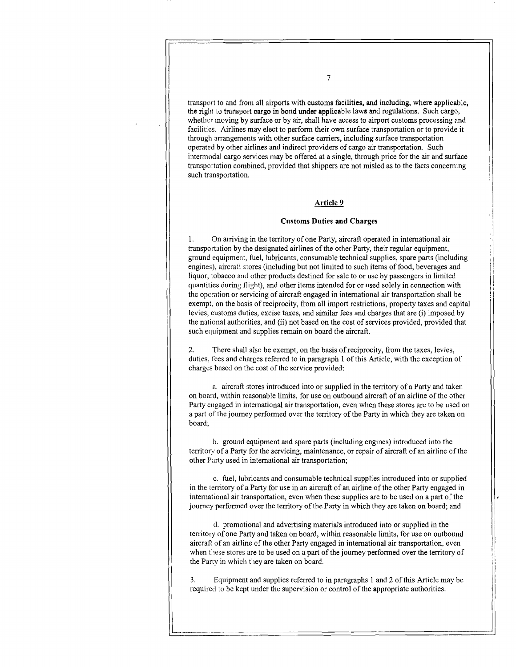transport to and from all airports with customs facilities, and including, where applicable, the right to transport cargo in bond under applicable laws and regulations. Such cargo, whether moving by surface or by air, shall have access to airport customs processing and facilities. Airlines may elect to perform their own surface transportation or to provide it through arrangements with other surface carriers, including surface transportation operated by other airlines and indirect providers of cargo air transportation. Such intermodal cargo services may be offered at a single, through price for the air and surface transportation combined, provided that shippers are not misled as to the facts concerning such transportation.

7

### Article 9

### Customs Duties and Charges

1. On arriving in the territory of one Party, aircraft operated in international air transportation by the designated airlines of the other Party, their regular equipment, ground equipment, fuel, lubricants, consumable technical supplies, spare parts (including engines), aircraft stores (including but not limited to such items of food, beverages and liquor, tobacco and other products destined for sale to or use by passengers in limited quantities during flight), and other items intended for or used solely in connection with the operation or servicing of aircraft engaged in international air transportation shall be exempt, on the basis of reciprocity, from all import restrictions, property taxes and capital levies, customs duties, excise taxes, and similar fees and charges that are (i) imposed by the national authorities, and (ii) not based on the cost of services provided, provided that such equipment and supplies remain on board the aircraft.

There shall also be exempt, on the basis of reciprocity, from the taxes, levies, duties, fees and charges referred to in paragraph 1 ofthis Article, with the exception of charges based on the cost of the service provided:

a. aircraft stores introduced into or supplied in the territory of a Party and taken on board, within reasonable limits, for use on outbound aircraft of an airline ofthe other Party engaged in international air transportation, even when these stores are to be used on a part of the journey performed over the territory of the Party in which they are taken on board;

b. ground equipment and spare parts (including engines) introduced into the territory of a Party for the servicing, maintenance, or repair of aircraft of an airline of the other Party used in international air transportation;

c. fuel, lubricants and consumable technical supplies introduced into or supplied in the territory of a Party for use in an aircraft of an airline ofthe other Party engaged in international air transportation, even when these supplies are to be used on a part of the journey performed over the territory of the Party in which they are taken on board; and

d. promotional and advertising materials introduced into or supplied in the territory ofone Party and taken on board, within reasonable limits, for use on outbound aircraft of an airline of the other Party engaged in international air transportation, even when these stores are to be used on a part of the journey performed over the territory of the Party in which they are taken on board.

3. Equipment and supplies referred to in paragraphs 1 and 2 of this Article may be required to be kept under the supervision or control of the appropriate authorities.

Ii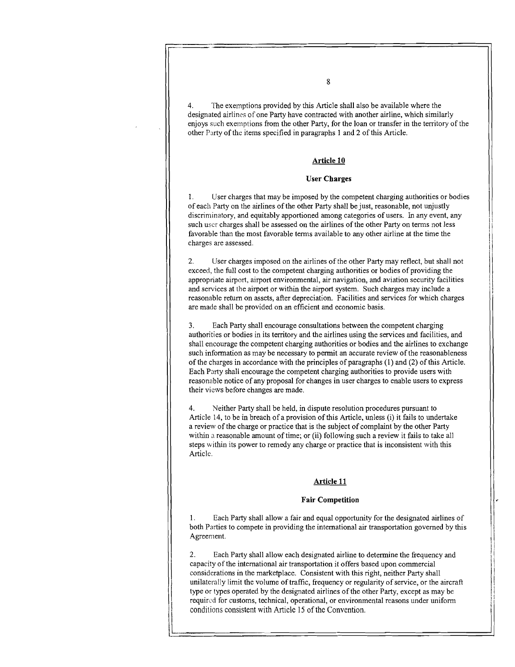4. The exemptions provided by this Article shall also be available where the designated airlines of one Party have contracted with another airline, which similarly enjoys such exemptions from the other Party, for the loan or transfer in the territory of the other Party of the items specified in paragraphs 1 and 2 of this Article.

### **Article 10**

### **User Charges**

1. User charges that may be imposed by the competent charging authorities or bodies of each Party on the airlines of the other Party shall be just, reasonable, not unjustly discriminatory, and equitably apportioned among categories of users. In any event, any such user charges shall be assessed on the airlines of the other Party on terms not less favorable than the most favorable terms available to any other airline at the time the charges are assessed.

Ii  $\mathbf{I}$ I, I i  $\mathbf{I}$ 

> $\overline{1}$  $\overline{\phantom{a}}$ 'IIII.

**I** :

I

2. User charges imposed on the airlines ofthe other Party may reflect, but shall not exceed, the full cost to the competent charging authorities or bodies of providing the appropriate airport, airport environmental, air navigation, and aviation security facilities and services at the airport or within the airport system. Such charges may include a reasonable return on assets, after depreciation. Facilities and services for which charges are made shall be provided on an efficient and economic basis.

3. Each Party shall encourage consultations between the competent charging authorities or bodies in its territory and the airlines using the services and facilities, and shall encourage the competent charging authorities or bodies and the airlines to exchange such information as may be necessary to permit an accurate review of the reasonableness of the charges in accordance with the principles of paragraphs  $(1)$  and  $(2)$  of this Article. Each Party shall encourage the competent charging authorities to provide users with reasonable notice of any proposal for changes in user charges to enable users to express their views before changes are made.

4. Neither Party shall be held, in dispute resolution procedures pursuant to Article 14, to be in breach of a provision of this Article, unless (i) it fails to undertake a review of the charge or practice that is the subject of complaint by the other Party within a reasonable amount of time; or (ii) following such a review it fails to take all steps within its power to remedy any charge or practice that is inconsistent with this Article.

# **Article 11**

### **Fair Competition**

1. Each Party shall allow a fair and equal opportunity for the designated airlines of both Parties to compete in providing the international air transportation governed by this Agreement.

2. Each Party shall allow each designated airline to determine the frequency and capacity of the international air transportation it offers based upon commercial considerations in the marketplace. Consistent with this right, neither Party shall unilaterally limit the volume of traffic, frequency or regularity of service, or the aircraft type or types operated by the designated airlines of the other Party, except as may be required for customs, technical, operational, or environmental reasons under uniform conditions consistent with Article 15 of the Convention.

|<br>|<br>|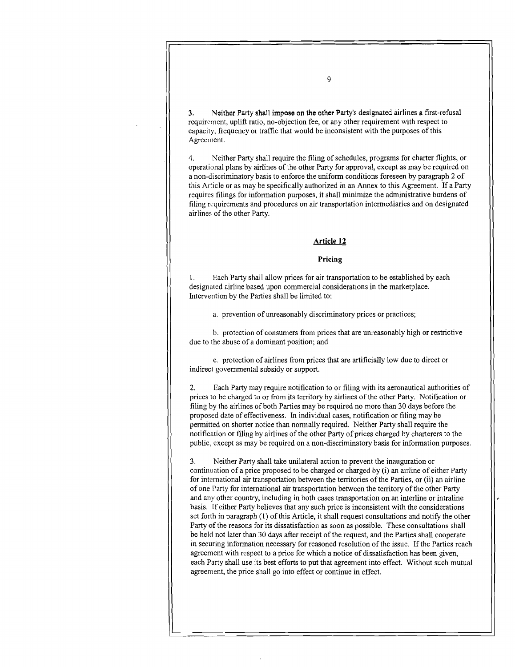3. Neither Party shall impose on the other Party's designated airlines a first-refusal requirement, uplift ratio, no-objection fee, or any other requirement with respect to capacity, frequency or traffic that would be inconsistent with the purposes ofthis Agreement.

4. Neither Party shall require the filing ofschedules, programs for charter flights, or operational plans by airlines ofthe other Party for approval, except as may be required on a non-discriminatory basis to enforce the uniform conditions foreseen by paragraph 2 of this Article or as may be specifically authorized in an Annex to this Agreement. If a Party requires filings for information purposes, it shall minimize the administrative burdens of filing requirements and procedures on air transportation intermediaries and on designated airlines of the other Party.

### Article 12

#### Pricing

1. Each Party shall allow prices for air transportation to be established by each designated airline based upon commercial considerations in the marketplace. Intervention by the Parties shall be limited to:

a. prevention of unreasonably discriminatory prices or practices;

b. protection of consumers from prices that are unreasonably high or restrictive due to the abuse of a dominant position; and

c. protection of airlines from prices that are artificially low due to direct or indirect governmental subsidy or support.

2. Each Party may require notification to or filing with its aeronautical authorities of prices to be charged to or from its territory by airlines of the other Party. Notification or filing by the airlines of both Parties may be required no more than 30 days before the proposed date of effectiveness. In individual cases, notification or filing may be permitted on shorter notice than normally required. Neither Party shall require the notification or filing by airlines of the other Party of prices charged by charterers to the public, except as may be required on a non-discriminatory basis for information purposes.

3. Neither Party shall take unilateral action to prevent the inauguration or continuation of a price proposed to be charged or charged by (i) an airline of either Party for international air transportation between the territories of the Parties, or (ii) an airline of one Party for international air transportation between the territory of the other Party and any other country, including in both cases transportation on an interline or intraline basis. If either Party believes that any such price is inconsistent with the considerations set forth in paragraph  $(1)$  of this Article, it shall request consultations and notify the other Party of the reasons for its dissatisfaction as soon as possible. These consultations shall be held not later than 30 days after receipt of the request, and the Parties shall cooperate in securing information necessary for reasoned resolution of the issue. If the Parties reach agreement with respect to a price for which a notice of dissatisfaction has been given, each Party shall use its best efforts to put that agreement into effect. Without such mutual agreement, the price shall go into effect or continue in effect.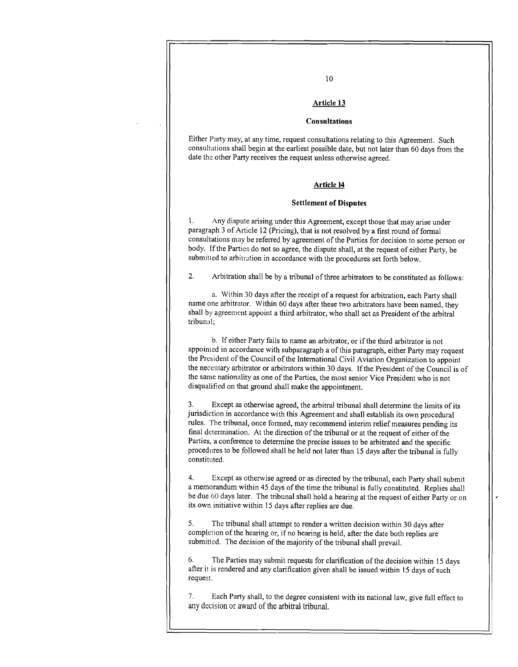### **Article 13**

### **Consultations**

Either Party may, at any time, request consultations relating to this Agreement. Such consultations shall begin at the earliest possible date, but not later than 60 days from the date the other Party receives the request unless otherwise agreed.

### **Article 14**

#### **Settlement of Disputes**

1. Any dispute arising under this Agreement, except those that may arise under paragraph 3 of Article 12 (Pricing), that is not resolved by a first round of formal consultations may be referred by agreement of the Parties for decision to some person or body. If the Parties do not so agree, the dispute shall, at the request of either Party, be submitted to arbitration in accordance with the procedures set forth below.

2. Arbitration shall be by a tribunal of three arbitrators to be constituted as follows:

a. Within 30 days after the receipt of a request for arbitration, each Party shall name one arbitrator. Within 60 days after these two arbitrators have been named, they shall by agreement appoint a third arbitrator, who shall act as President of the arbitral tribunal;

b. If either Party fails to name an arbitrator, or if the third arbitrator is not appointed in accordance with subparagraph a ofthis paragraph, either Party may request the President of the Council of the International Civil Aviation Organization to appoint the necessary arbitrator or arbitrators within 30 days. If the President of the Council is of the same nationality as one of the Parties, the most senior Vice President who is not disqualified on that ground shall make the appointment.

3. Except as otherwise agreed, the arbitral tribunal shall determine the limits of its jurisdiction in accordance with this Agreement and shall establish its own procedural rules. The tribunal, once formed, may recommend interim relief measures pending its final determination. At the direction of the tribunal or at the request of either of the Parties, a conference to determine the precise issues to be arbitrated and the specific procedures to be followed shall be held not later than 15 days after the tribunal is fully constituted.

4. Except as otherwise agreed or as directed by the tribunal, each Party shall submit a memorandum within 45 days of the time the tribunal is fully constituted. Replies shall be due 60 days later. The tribunal shall hold a hearing at the request of either Party or on its own initiative within 15 days after replies are due.

5. The tribunal shall attempt to render a written decision within 30 days after completion of the hearing or, if no hearing is held, after the date both replies are submitted. The decision of the majority of the tribunal shall prevail.

6. The Parties may submit requests for clarification ofthe decision within 15 days after it is rendered and any clarification given shall be issued within 15 days of such request.

7. Each Party shall, to the degree consistent with its national law, give full effect to any decision or award of the arbitral tribunal.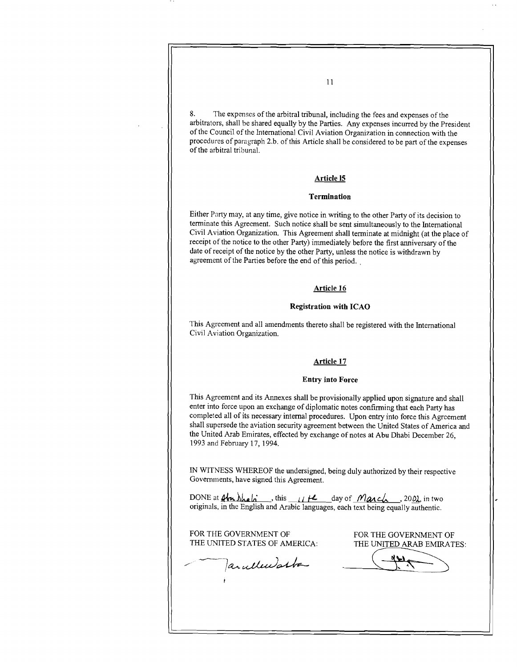8. The expenses of the arbitral tribunal, including the fees and expenses of the arbitrators, shall be shared equally by the Parties. Any expenses incurred by the President of the Council of the International Civil Aviation Organization in connection with the procedures of paragraph 2.b. of this Article shall be considered to be part of the expenses of the arbitral tribunal.

### **Article 15**

### **Termination**

Either Party may, at any time, give notice in writing to the other Party of its decision to terminate this Agreement. Such notice shall be sent simultaneously to the International Civil Aviation Organization. This Agreement shall terminate at midnight (at the place of receipt of the notice to the other Party) immediately before the first anniversary of the date of receipt of the notice by the other Party, unless the notice is withdrawn by agreement of the Parties before the end of this period.

### **Article 16**

### **Registration** with **ICAO**

This Agreement and all amendments thereto shall be registered with the International Civil Aviation Organization.

# **Article 17**

### **Entry into Force**

This Agreement and its Annexes shall be provisionally applied upon signature and shall enter into force upon an exchange of diplomatic notes confirming that each Party has completed all of its necessary internal procedures. Upon entry into force this Agreement shall supersede the aviation security agreement between the United States of America and the United Arab Emirates, effected by exchange of notes at Abu Dhabi December 26, 1993 and February 17, 1994.

IN WITNESS WHEREOF the undersigned, being duly authorized by their respective Governments, have signed this Agreement.

DONE at  $4n \frac{\lambda}{2}$  in two this  $1/7$  *f-L* day of *March*. , 2001, in two originals, in the English and Arabic languages, each text being equally authentic.

FOR THE GOVERNMENT OF THE UNITED STATES OF AMERICA:

anullewarten

FOR THE GOVERNMENT OF THE UNITED ARAB EMIRATES: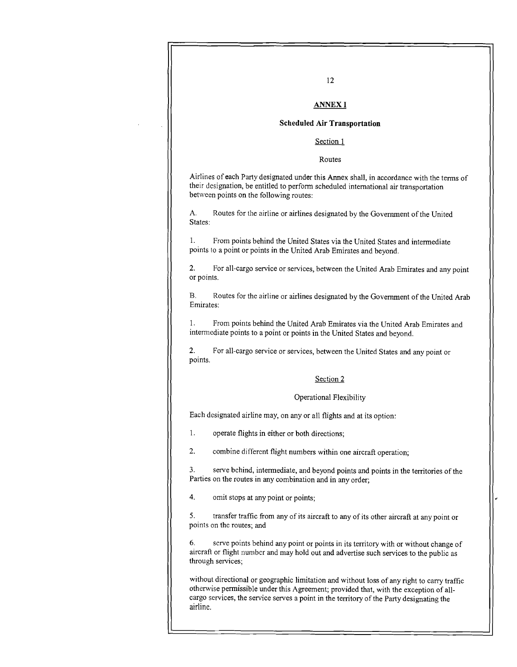# ANNEX I

### **Scheduled Air Transportation**

#### Section<sub>1</sub>

### Routes

Airlines of each Party designated under this Annex shall, in accordance with the terms of their designation, be entitled to perform scheduled international air transportation between points on the following routes:

A. Routes for the airline or airlines designated by the Government of the United States:

1. From points behind the United States via the United States and intermediate points to a point or points in the United Arab Emirates and beyond.

2. For all-cargo service or services, between the United Arab Emirates and any point or points.

B. Routes for the airline or airlines designated by the Government of the United Arab Emirates:

1. From points behind the United Arab Emirates via the United Arab Emirates and intermediate points to a point or points in the United States and beyond.

2. For all-cargo service or services, between the United States and any point or points.

### Section 2

### Operational Flexibility

Each designated airline may, on any or all flights and at its option:

1. operate flights in either or both directions;

2. combine different flight numbers within one aircraft operation;

3. serve behind, intermediate, and beyond points and points in the territories of the Parties on the routes in any combination and in any order;

4. omit stops at any point or points;

5. transfer traffic from any of its aircraft to any of its other aircraft at any point or points on the routes; and

6. serve points behind any point or points in its territory with or without change of aircraft or flight number and may hold out and advertise such services to the public as through services;

without directional or geographic limitation and without loss of any right to carry traffic otherwise permissible under this Agreement; provided that, with the exception of allcargo services, the service serves a point in the territory of the Party designating the airline.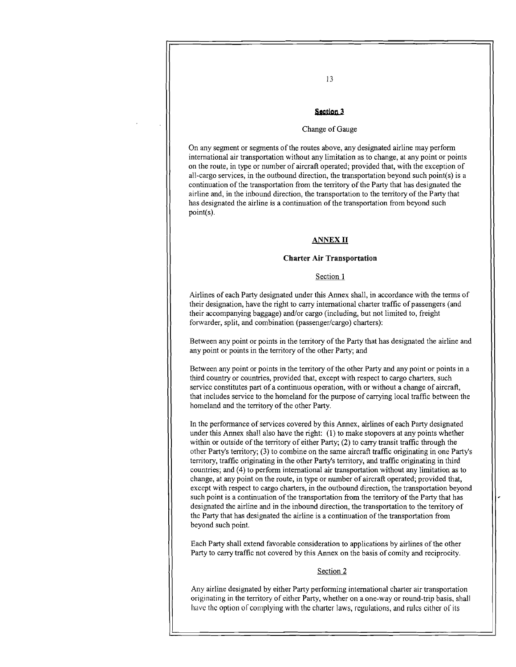### **Sectign 3**

#### Change of Gauge

On any segment or segments of the routes above, any designated airline may perform international air transportation without any limitation as to change, at any point or points on the route, in type or number of aircraft operated; provided that, with the exception of all-cargo services, in the outbound direction, the transportation beyond such point(s) is a continuation of the transportation from the territory of the Party that has designated the airline and, in the inbound direction, the transportation to the territory ofthe Party that has designated the airline is a continuation of the transportation from beyond such point(s).

## ANNEX II

#### **Charter Air Transportation**

### Section 1

Airlines of each Party designated under this Annex shall, in accordance with the terms of their designation, have the right to carry international charter traffic of passengers (and their accompanying baggage) and/or cargo (including, but not limited to, freight forwarder, split, and combination (passenger/cargo) charters):

Between any point or points in the territory of the Party that has designated the airline and any point or points in the territory of the other Party; and

Between any point or points in the territory of the other Party and any point or points in a third country or countries, provided that, except with respect to cargo charters, such service constitutes part of a continuous operation, with or without a change of aircraft, that includes service to the homeland for the purpose of carrying local traffic between the homeland and the territory of the other Party.

In the performance of services covered by this Annex, airlines of each Party designated under this Annex shall also have the right: (1) to make stopovers at any points whether within or outside of the territory of either Party; (2) to carry transit traffic through the other Party's territory; (3) to combine on the same aircraft traffic originating in one Party's territory, traffic originating in the other Party's territory, and traffic originating in third countries; and (4) to perform international air transportation without any limitation as to change, at any point on the route, in type or number of aircraft operated; provided that, except with respect to cargo charters, in the outbound direction, the transportation beyond such point is a continuation of the transportation from the territory of the Party that has designated the airline and in the inbound direction, the transportation to the territory of the Party that has designated the airline is a continuation of the transportation from beyond such point.

Each Party shall extend favorable consideration to applications by airlines ofthe other Party to carry traffic not covered by this Annex on the basis of comity and reciprocity.

#### Section 2

Any airline designated by either Party performing international charter air transportation originating in the territory of either Party, whether on a one-way or round-trip basis, shall have the option of complying with the charter laws, regulations, and rules either of its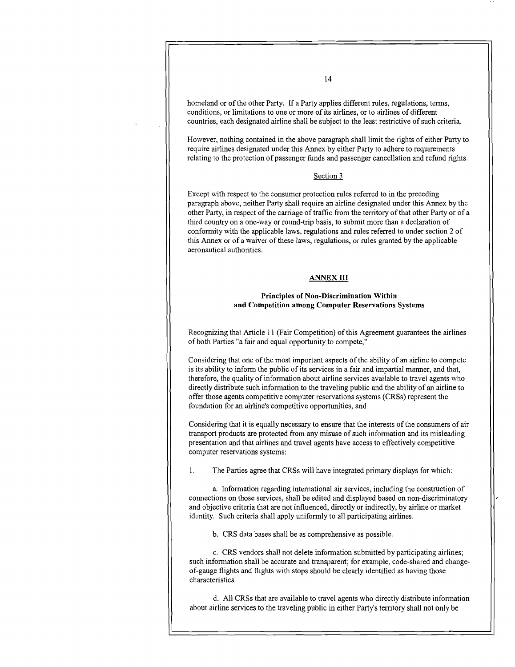homeland or of the other Party. If a Party applies different rules, regulations, terms, conditions, or limitations to one or more of its airlines, or to airlines of different countries, each designated airline shall be subject to the least restrictive of such criteria.

However, nothing contained in the above paragraph shall limit the rights of either Party to require airlines designated under this Annex by either Party to adhere to requirements relating to the protection of passenger funds and passenger cancellation and refund rights.

#### Section 3

Except with respect to the consumer protection rules referred to in the preceding paragraph above, neither Party shall require an airline designated under this Annex by the other Party, in respect of the carriage of traffic from the territory of that other Party or of a third country on a one-way or round-trip basis, to submit more than a declaration of conformity with the applicable laws, regulations and rules referred to under section 2 of this Annex or of a waiver ofthese laws, regulations, or rules granted by the applicable aeronautical authorities.

### ANNEX III

# Principles of Non-Discrimination Within and Competition among Computer Reservations Systems

Recognizing that Article 11 (Fair Competition) ofthis Agreement guarantees the airlines of both Parties "a fair and equal opportunity to compete,"

Considering that one of the most important aspects of the ability of an airline to compete is its ability to inform the public of its services in a fair and impartial manner, and that, therefore, the quality of information about airline services available to travel agents who directly distribute such information to the traveling public and the ability of an airline to offer those agents competitive computer reservations systems (CRSs) represent the foundation for an airline's competitive opportunities, and

Considering that it is equally necessary to ensure that the interests of the consumers of air transport products are protected from any misuse of such information and its misleading presentation and that airlines and travel agents have access to effectively competitive computer reservations systems:

1. The Parties agree that CRSs will have integrated primary displays for which:

a. Information regarding international air services, including the construction of connections on those services, shall be edited and displayed based on non-discriminatory and objective criteria that are not influenced, directly or indirectly, by airline or market identity. Such criteria shall apply uniformly to all participating airlines.

b. CRS data bases shall be as comprehensive as possible.

c. CRS vendors shall not delete information submitted by participating airlines; such information shall be accurate and transparent; for example, code-shared and changeof-gauge flights and flights with stops should be clearly identified as having those characteristics.

d. All CRSs that are available to travel agents who directly distribute information about airline services to the traveling public in either Party's territory shall not only be